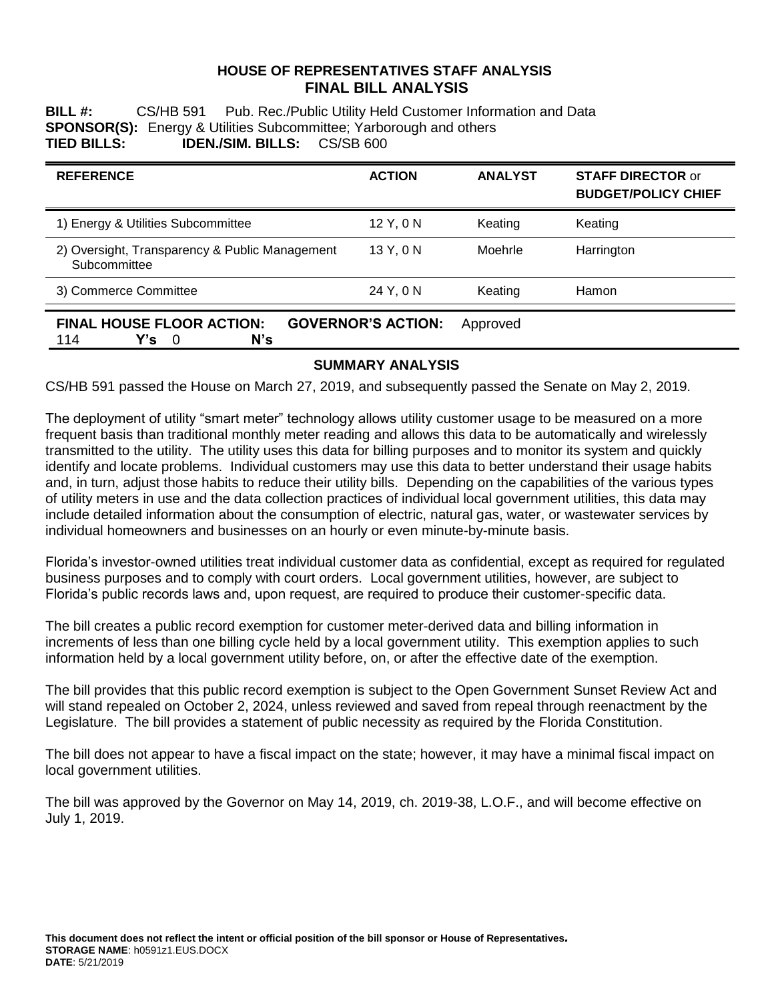#### **HOUSE OF REPRESENTATIVES STAFF ANALYSIS FINAL BILL ANALYSIS**

**BILL #:** CS/HB 591 Pub. Rec./Public Utility Held Customer Information and Data **SPONSOR(S):** Energy & Utilities Subcommittee; Yarborough and others **TIED BILLS: IDEN./SIM. BILLS:** CS/SB 600

| <b>REFERENCE</b>                                               | <b>ACTION</b> | <b>ANALYST</b> | <b>STAFF DIRECTOR or</b><br><b>BUDGET/POLICY CHIEF</b> |
|----------------------------------------------------------------|---------------|----------------|--------------------------------------------------------|
| 1) Energy & Utilities Subcommittee                             | $12$ Y, 0 N   | Keating        | Keating                                                |
| 2) Oversight, Transparency & Public Management<br>Subcommittee | 13Y.0N        | Moehrle        | Harrington                                             |
| 3) Commerce Committee                                          | 24 Y, 0 N     | Keating        | Hamon                                                  |
| FINAL HOLISE ELOOR ACTION.<br>GOVERNOR'S ACTION.               |               | Annroved       |                                                        |

**FINAL HOUSE FLOOR ACTION: GOVERNOR'S ACTION:** Approved 114 **Y's** 0 **N's**

### **SUMMARY ANALYSIS**

CS/HB 591 passed the House on March 27, 2019, and subsequently passed the Senate on May 2, 2019.

The deployment of utility "smart meter" technology allows utility customer usage to be measured on a more frequent basis than traditional monthly meter reading and allows this data to be automatically and wirelessly transmitted to the utility. The utility uses this data for billing purposes and to monitor its system and quickly identify and locate problems. Individual customers may use this data to better understand their usage habits and, in turn, adjust those habits to reduce their utility bills. Depending on the capabilities of the various types of utility meters in use and the data collection practices of individual local government utilities, this data may include detailed information about the consumption of electric, natural gas, water, or wastewater services by individual homeowners and businesses on an hourly or even minute-by-minute basis.

Florida's investor-owned utilities treat individual customer data as confidential, except as required for regulated business purposes and to comply with court orders. Local government utilities, however, are subject to Florida's public records laws and, upon request, are required to produce their customer-specific data.

The bill creates a public record exemption for customer meter-derived data and billing information in increments of less than one billing cycle held by a local government utility. This exemption applies to such information held by a local government utility before, on, or after the effective date of the exemption.

The bill provides that this public record exemption is subject to the Open Government Sunset Review Act and will stand repealed on October 2, 2024, unless reviewed and saved from repeal through reenactment by the Legislature. The bill provides a statement of public necessity as required by the Florida Constitution.

The bill does not appear to have a fiscal impact on the state; however, it may have a minimal fiscal impact on local government utilities.

The bill was approved by the Governor on May 14, 2019, ch. 2019-38, L.O.F., and will become effective on July 1, 2019.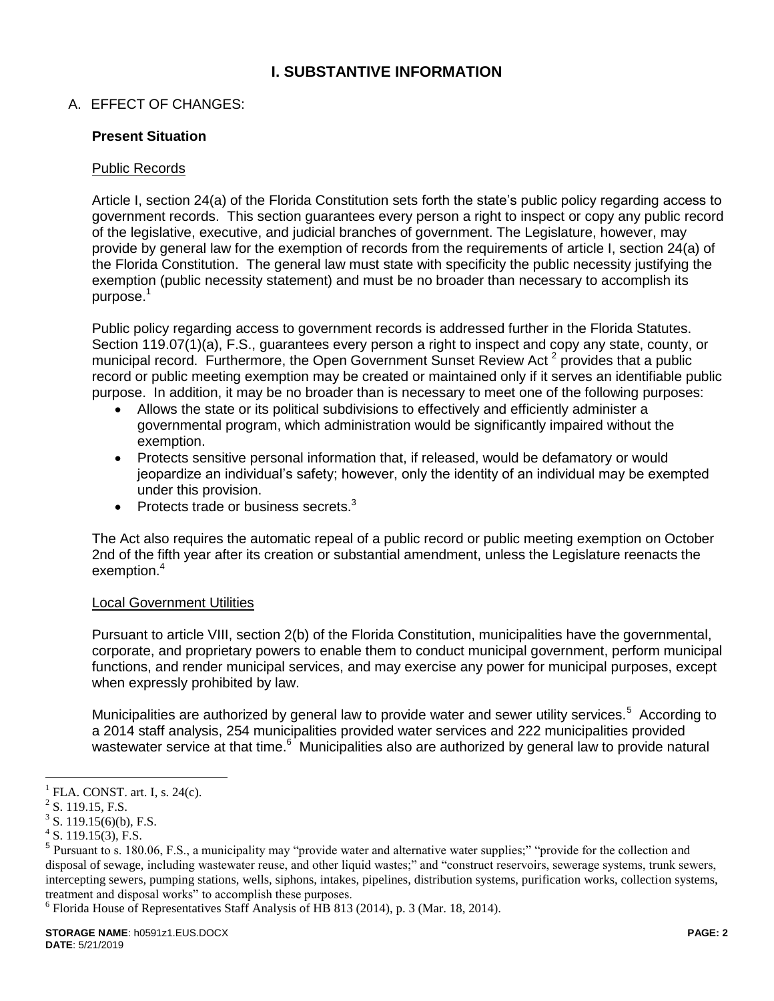## **I. SUBSTANTIVE INFORMATION**

A. EFFECT OF CHANGES:

## **Present Situation**

#### Public Records

Article I, section 24(a) of the Florida Constitution sets forth the state's public policy regarding access to government records. This section guarantees every person a right to inspect or copy any public record of the legislative, executive, and judicial branches of government. The Legislature, however, may provide by general law for the exemption of records from the requirements of article I, section 24(a) of the Florida Constitution. The general law must state with specificity the public necessity justifying the exemption (public necessity statement) and must be no broader than necessary to accomplish its  $pure$ 

Public policy regarding access to government records is addressed further in the Florida Statutes. Section 119.07(1)(a), F.S., guarantees every person a right to inspect and copy any state, county, or municipal record. Furthermore, the Open Government Sunset Review Act<sup>2</sup> provides that a public record or public meeting exemption may be created or maintained only if it serves an identifiable public purpose. In addition, it may be no broader than is necessary to meet one of the following purposes:

- Allows the state or its political subdivisions to effectively and efficiently administer a governmental program, which administration would be significantly impaired without the exemption.
- Protects sensitive personal information that, if released, would be defamatory or would jeopardize an individual's safety; however, only the identity of an individual may be exempted under this provision.
- Protects trade or business secrets. $3$

The Act also requires the automatic repeal of a public record or public meeting exemption on October 2nd of the fifth year after its creation or substantial amendment, unless the Legislature reenacts the exemption.<sup>4</sup>

#### Local Government Utilities

Pursuant to article VIII, section 2(b) of the Florida Constitution, municipalities have the governmental, corporate, and proprietary powers to enable them to conduct municipal government, perform municipal functions, and render municipal services, and may exercise any power for municipal purposes, except when expressly prohibited by law.

Municipalities are authorized by general law to provide water and sewer utility services.<sup>5</sup> According to a 2014 staff analysis, 254 municipalities provided water services and 222 municipalities provided wastewater service at that time.<sup>6</sup> Municipalities also are authorized by general law to provide natural

 $\overline{a}$ 

<sup>6</sup> Florida House of Representatives Staff Analysis of HB 813 (2014), p. 3 (Mar. 18, 2014).

 $<sup>1</sup>$  FLA. CONST. art. I, s. 24(c).</sup>

 $2$  S. 119.15, F.S.

 $3$  S. 119.15(6)(b), F.S.

 $4$  S. 119.15(3), F.S.

<sup>&</sup>lt;sup>5</sup> Pursuant to s. 180.06, F.S., a municipality may "provide water and alternative water supplies;" "provide for the collection and disposal of sewage, including wastewater reuse, and other liquid wastes;" and "construct reservoirs, sewerage systems, trunk sewers, intercepting sewers, pumping stations, wells, siphons, intakes, pipelines, distribution systems, purification works, collection systems, treatment and disposal works" to accomplish these purposes.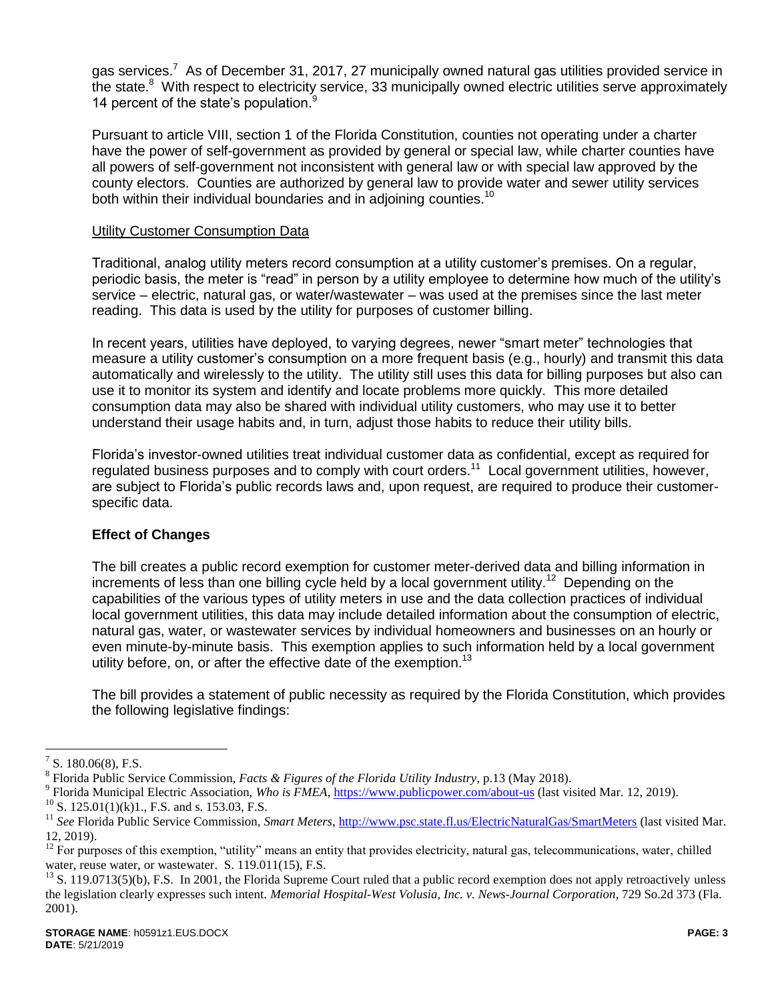gas services.<sup>7</sup> As of December 31, 2017, 27 municipally owned natural gas utilities provided service in the state.<sup>8</sup> With respect to electricity service, 33 municipally owned electric utilities serve approximately 14 percent of the state's population.<sup>9</sup>

Pursuant to article VIII, section 1 of the Florida Constitution, counties not operating under a charter have the power of self-government as provided by general or special law, while charter counties have all powers of self-government not inconsistent with general law or with special law approved by the county electors. Counties are authorized by general law to provide water and sewer utility services both within their individual boundaries and in adioining counties.<sup>10</sup>

#### Utility Customer Consumption Data

Traditional, analog utility meters record consumption at a utility customer's premises. On a regular, periodic basis, the meter is "read" in person by a utility employee to determine how much of the utility's service – electric, natural gas, or water/wastewater – was used at the premises since the last meter reading. This data is used by the utility for purposes of customer billing.

In recent years, utilities have deployed, to varying degrees, newer "smart meter" technologies that measure a utility customer's consumption on a more frequent basis (e.g., hourly) and transmit this data automatically and wirelessly to the utility. The utility still uses this data for billing purposes but also can use it to monitor its system and identify and locate problems more quickly. This more detailed consumption data may also be shared with individual utility customers, who may use it to better understand their usage habits and, in turn, adjust those habits to reduce their utility bills.

Florida's investor-owned utilities treat individual customer data as confidential, except as required for regulated business purposes and to comply with court orders.<sup>11</sup> Local government utilities, however, are subject to Florida's public records laws and, upon request, are required to produce their customerspecific data.

### **Effect of Changes**

The bill creates a public record exemption for customer meter-derived data and billing information in increments of less than one billing cycle held by a local government utility.<sup>12</sup> Depending on the capabilities of the various types of utility meters in use and the data collection practices of individual local government utilities, this data may include detailed information about the consumption of electric, natural gas, water, or wastewater services by individual homeowners and businesses on an hourly or even minute-by-minute basis. This exemption applies to such information held by a local government utility before, on, or after the effective date of the exemption.<sup>13</sup>

The bill provides a statement of public necessity as required by the Florida Constitution, which provides the following legislative findings:

 $\overline{a}$ 

- <sup>9</sup> Florida Municipal Electric Association, *Who is FMEA*, https://www.publicpower.com/about-us (last visited Mar. 12, 2019).
- $^{10}$  S. 125.01(1)(k)1., F.S. and s. 153.03, F.S.

 $<sup>7</sup>$  S. 180.06(8), F.S.</sup>

<sup>8</sup> Florida Public Service Commission, *Facts & Figures of the Florida Utility Industry*, p.13 (May 2018).

<sup>&</sup>lt;sup>11</sup> See Florida Public Service Commission, Smart Meters, http://www.psc.state.fl.us/ElectricNaturalGas/SmartMeters (last visited Mar. 12, 2019).

 $12$  For purposes of this exemption, "utility" means an entity that provides electricity, natural gas, telecommunications, water, chilled water, reuse water, or wastewater. S. 119.011(15), F.S.

 $^{13}$  S. 119.0713(5)(b), F.S. In 2001, the Florida Supreme Court ruled that a public record exemption does not apply retroactively unless the legislation clearly expresses such intent. *Memorial Hospital-West Volusia, Inc. v. News-Journal Corporation*, 729 So.2d 373 (Fla. 2001).